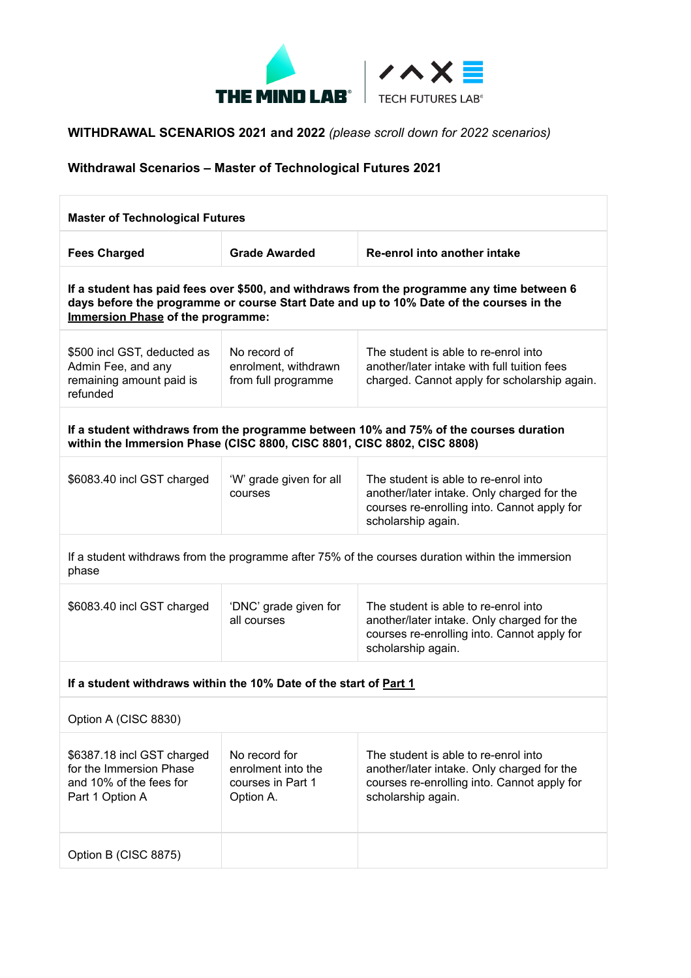

## **WITHDRAWAL SCENARIOS 2021 and 2022** *(please scroll down for 2022 scenarios)*

## **Withdrawal Scenarios – Master of Technological Futures 2021**

| <b>Master of Technological Futures</b>                                                                                                                                                                                     |                                                                       |                                                                                                                                                         |  |
|----------------------------------------------------------------------------------------------------------------------------------------------------------------------------------------------------------------------------|-----------------------------------------------------------------------|---------------------------------------------------------------------------------------------------------------------------------------------------------|--|
| <b>Fees Charged</b>                                                                                                                                                                                                        | <b>Grade Awarded</b>                                                  | Re-enrol into another intake                                                                                                                            |  |
| If a student has paid fees over \$500, and withdraws from the programme any time between 6<br>days before the programme or course Start Date and up to 10% Date of the courses in the<br>Immersion Phase of the programme: |                                                                       |                                                                                                                                                         |  |
| \$500 incl GST, deducted as<br>Admin Fee, and any<br>remaining amount paid is<br>refunded                                                                                                                                  | No record of<br>enrolment, withdrawn<br>from full programme           | The student is able to re-enrol into<br>another/later intake with full tuition fees<br>charged. Cannot apply for scholarship again.                     |  |
| If a student withdraws from the programme between 10% and 75% of the courses duration<br>within the Immersion Phase (CISC 8800, CISC 8801, CISC 8802, CISC 8808)                                                           |                                                                       |                                                                                                                                                         |  |
| \$6083.40 incl GST charged                                                                                                                                                                                                 | 'W' grade given for all<br>courses                                    | The student is able to re-enrol into<br>another/later intake. Only charged for the<br>courses re-enrolling into. Cannot apply for<br>scholarship again. |  |
| If a student withdraws from the programme after 75% of the courses duration within the immersion<br>phase                                                                                                                  |                                                                       |                                                                                                                                                         |  |
| \$6083.40 incl GST charged                                                                                                                                                                                                 | 'DNC' grade given for<br>all courses                                  | The student is able to re-enrol into<br>another/later intake. Only charged for the<br>courses re-enrolling into. Cannot apply for<br>scholarship again. |  |
| If a student withdraws within the 10% Date of the start of Part 1                                                                                                                                                          |                                                                       |                                                                                                                                                         |  |
| Option A (CISC 8830)                                                                                                                                                                                                       |                                                                       |                                                                                                                                                         |  |
| \$6387.18 incl GST charged<br>for the Immersion Phase<br>and 10% of the fees for<br>Part 1 Option A                                                                                                                        | No record for<br>enrolment into the<br>courses in Part 1<br>Option A. | The student is able to re-enrol into<br>another/later intake. Only charged for the<br>courses re-enrolling into. Cannot apply for<br>scholarship again. |  |
| Option B (CISC 8875)                                                                                                                                                                                                       |                                                                       |                                                                                                                                                         |  |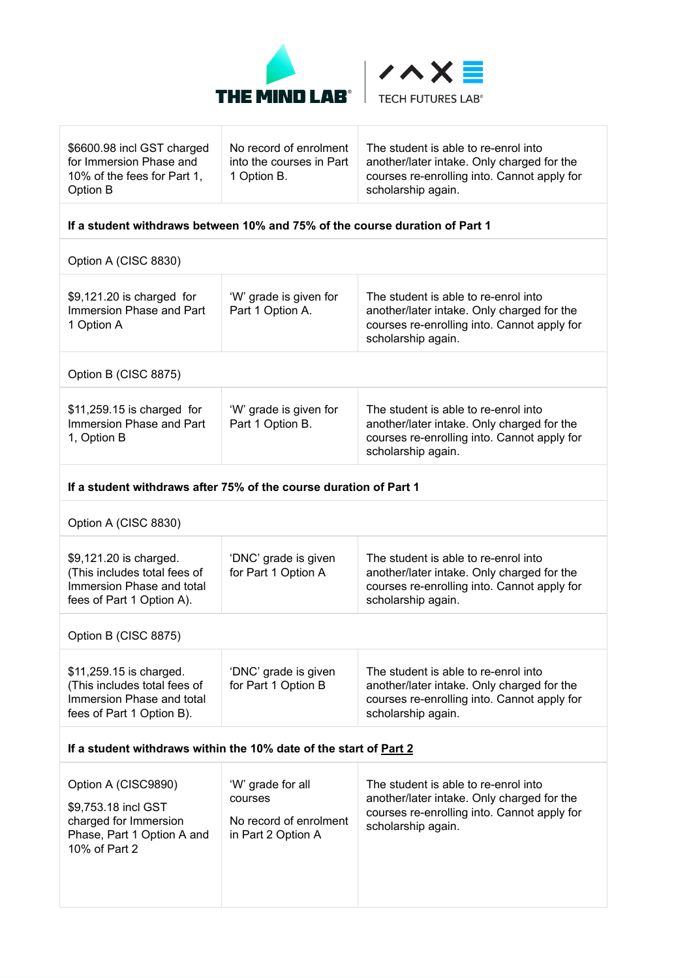



| \$6600.98 incl GST charged<br>for Immersion Phase and<br>10% of the fees for Part 1,<br>Option B | No record of enrolment<br>into the courses in Part<br>1 Option B. | The student is able to re-enrol into<br>another/later intake. Only charged for the<br>courses re-enrolling into. Cannot apply for<br>scholarship again. |
|--------------------------------------------------------------------------------------------------|-------------------------------------------------------------------|---------------------------------------------------------------------------------------------------------------------------------------------------------|
|                                                                                                  |                                                                   |                                                                                                                                                         |

### **If a student withdraws between 10% and 75% of the course duration of Part 1**

Option A (CISC 8830)

| $$9,121.20$ is charged for<br>Immersion Phase and Part<br>1 Option A | 'W' grade is given for<br>Part 1 Option A. | The student is able to re-enrol into<br>another/later intake. Only charged for the<br>courses re-enrolling into. Cannot apply for<br>scholarship again. |
|----------------------------------------------------------------------|--------------------------------------------|---------------------------------------------------------------------------------------------------------------------------------------------------------|
|----------------------------------------------------------------------|--------------------------------------------|---------------------------------------------------------------------------------------------------------------------------------------------------------|

Option B (CISC 8875)

| courses re-enrolling into. Cannot apply for<br>1, Option B<br>scholarship again. | $$11,259.15$ is charged for<br>Immersion Phase and Part | 'W' grade is given for<br>Part 1 Option B. | The student is able to re-enrol into<br>another/later intake. Only charged for the |  |
|----------------------------------------------------------------------------------|---------------------------------------------------------|--------------------------------------------|------------------------------------------------------------------------------------|--|
|----------------------------------------------------------------------------------|---------------------------------------------------------|--------------------------------------------|------------------------------------------------------------------------------------|--|

**If a student withdraws after 75% of the course duration of Part 1**

Option A (CISC 8830)

| \$9,121.20 is charged.<br>(This includes total fees of<br>Immersion Phase and total<br>fees of Part 1 Option A). | 'DNC' grade is given<br>for Part 1 Option A | The student is able to re-enrol into<br>another/later intake. Only charged for the<br>courses re-enrolling into. Cannot apply for<br>scholarship again. |
|------------------------------------------------------------------------------------------------------------------|---------------------------------------------|---------------------------------------------------------------------------------------------------------------------------------------------------------|
|------------------------------------------------------------------------------------------------------------------|---------------------------------------------|---------------------------------------------------------------------------------------------------------------------------------------------------------|

Option B (CISC 8875)

| \$11,259.15 is charged.<br>(This includes total fees of<br>Immersion Phase and total<br>fees of Part 1 Option B). | 'DNC' grade is given<br>for Part 1 Option B | The student is able to re-enrol into<br>another/later intake. Only charged for the<br>courses re-enrolling into. Cannot apply for<br>scholarship again. |
|-------------------------------------------------------------------------------------------------------------------|---------------------------------------------|---------------------------------------------------------------------------------------------------------------------------------------------------------|
|-------------------------------------------------------------------------------------------------------------------|---------------------------------------------|---------------------------------------------------------------------------------------------------------------------------------------------------------|

### **If a student withdraws within the 10% date of the start of Part 2**

| Option A (CISC9890)<br>\$9,753.18 incl GST<br>charged for Immersion<br>Phase, Part 1 Option A and<br>10% of Part 2 | 'W' grade for all<br>courses<br>No record of enrolment<br>in Part 2 Option A | The student is able to re-enrol into<br>another/later intake. Only charged for the<br>courses re-enrolling into. Cannot apply for<br>scholarship again. |
|--------------------------------------------------------------------------------------------------------------------|------------------------------------------------------------------------------|---------------------------------------------------------------------------------------------------------------------------------------------------------|
|                                                                                                                    |                                                                              |                                                                                                                                                         |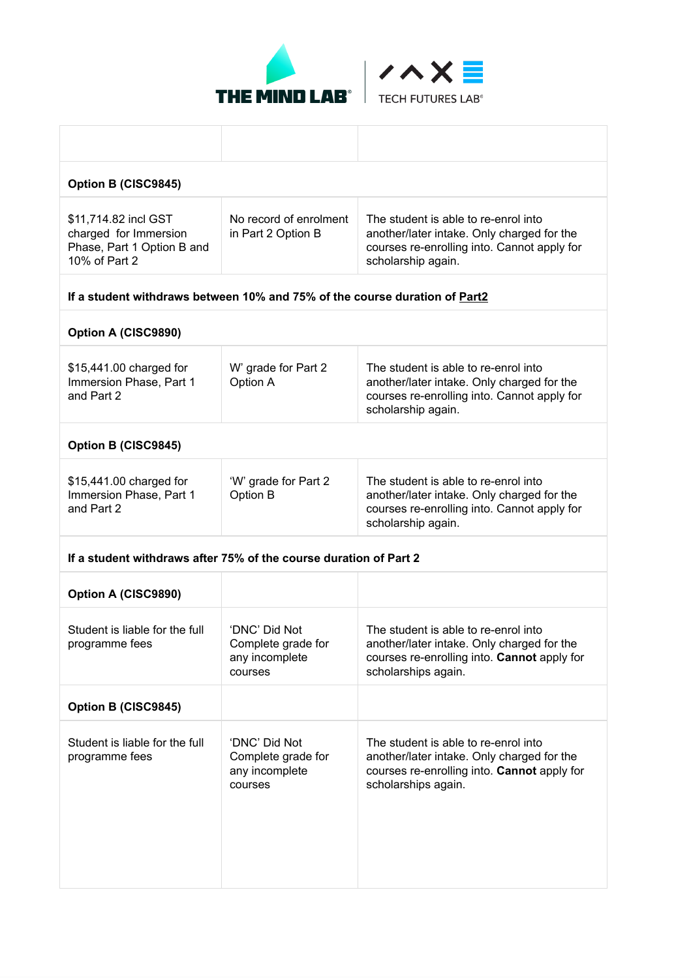



| Option B (CISC9845)                                                                          |                                                                  |                                                                                                                                                          |
|----------------------------------------------------------------------------------------------|------------------------------------------------------------------|----------------------------------------------------------------------------------------------------------------------------------------------------------|
| \$11,714.82 incl GST<br>charged for Immersion<br>Phase, Part 1 Option B and<br>10% of Part 2 | No record of enrolment<br>in Part 2 Option B                     | The student is able to re-enrol into<br>another/later intake. Only charged for the<br>courses re-enrolling into. Cannot apply for<br>scholarship again.  |
| If a student withdraws between 10% and 75% of the course duration of Part2                   |                                                                  |                                                                                                                                                          |
| Option A (CISC9890)                                                                          |                                                                  |                                                                                                                                                          |
| \$15,441.00 charged for<br>Immersion Phase, Part 1<br>and Part 2                             | W' grade for Part 2<br>Option A                                  | The student is able to re-enrol into<br>another/later intake. Only charged for the<br>courses re-enrolling into. Cannot apply for<br>scholarship again.  |
| Option B (CISC9845)                                                                          |                                                                  |                                                                                                                                                          |
| \$15,441.00 charged for<br>Immersion Phase, Part 1<br>and Part 2                             | 'W' grade for Part 2<br>Option B                                 | The student is able to re-enrol into<br>another/later intake. Only charged for the<br>courses re-enrolling into. Cannot apply for<br>scholarship again.  |
| If a student withdraws after 75% of the course duration of Part 2                            |                                                                  |                                                                                                                                                          |
| Option A (CISC9890)                                                                          |                                                                  |                                                                                                                                                          |
| Student is liable for the full<br>programme fees                                             | 'DNC' Did Not<br>Complete grade for<br>any incomplete<br>courses | The student is able to re-enrol into<br>another/later intake. Only charged for the<br>courses re-enrolling into. Cannot apply for<br>scholarships again. |
| Option B (CISC9845)                                                                          |                                                                  |                                                                                                                                                          |
| Student is liable for the full<br>programme fees                                             | 'DNC' Did Not<br>Complete grade for<br>any incomplete<br>courses | The student is able to re-enrol into<br>another/later intake. Only charged for the<br>courses re-enrolling into. Cannot apply for<br>scholarships again. |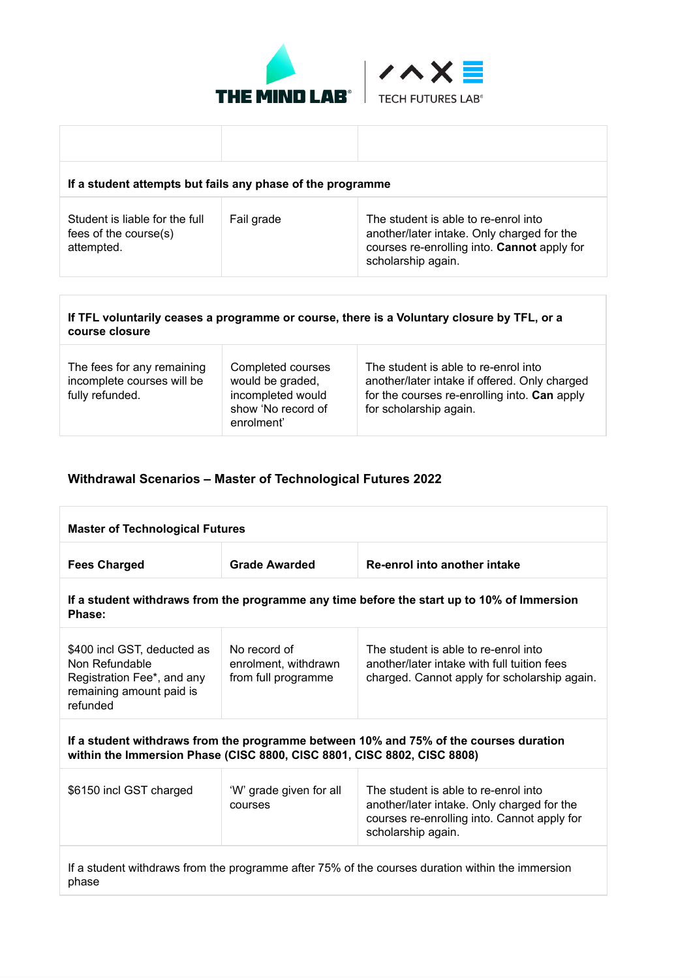



| If a student attempts but fails any phase of the programme            |            |                                                                                                                                                         |  |
|-----------------------------------------------------------------------|------------|---------------------------------------------------------------------------------------------------------------------------------------------------------|--|
| Student is liable for the full<br>fees of the course(s)<br>attempted. | Fail grade | The student is able to re-enrol into<br>another/later intake. Only charged for the<br>courses re-enrolling into. Cannot apply for<br>scholarship again. |  |

# **If TFL voluntarily ceases a programme or course, there is a Voluntary closure by TFL, or a course closure**

| The fees for any remaining<br>incomplete courses will be<br>fully refunded. | Completed courses<br>would be graded,<br>incompleted would<br>show 'No record of<br>enrolment' | The student is able to re-enrol into<br>another/later intake if offered. Only charged<br>for the courses re-enrolling into. Can apply<br>for scholarship again. |
|-----------------------------------------------------------------------------|------------------------------------------------------------------------------------------------|-----------------------------------------------------------------------------------------------------------------------------------------------------------------|
|-----------------------------------------------------------------------------|------------------------------------------------------------------------------------------------|-----------------------------------------------------------------------------------------------------------------------------------------------------------------|

### **Withdrawal Scenarios – Master of Technological Futures 2022**

| <b>Master of Technological Futures</b>                                                                                                                           |                                                             |                                                                                                                                                         |  |
|------------------------------------------------------------------------------------------------------------------------------------------------------------------|-------------------------------------------------------------|---------------------------------------------------------------------------------------------------------------------------------------------------------|--|
| <b>Fees Charged</b>                                                                                                                                              | <b>Grade Awarded</b>                                        | Re-enrol into another intake                                                                                                                            |  |
| If a student withdraws from the programme any time before the start up to 10% of Immersion<br>Phase:                                                             |                                                             |                                                                                                                                                         |  |
| \$400 incl GST, deducted as<br>Non Refundable<br>Registration Fee*, and any<br>remaining amount paid is<br>refunded                                              | No record of<br>enrolment, withdrawn<br>from full programme | The student is able to re-enrol into<br>another/later intake with full tuition fees<br>charged. Cannot apply for scholarship again.                     |  |
| If a student withdraws from the programme between 10% and 75% of the courses duration<br>within the Immersion Phase (CISC 8800, CISC 8801, CISC 8802, CISC 8808) |                                                             |                                                                                                                                                         |  |
| \$6150 incl GST charged                                                                                                                                          | 'W' grade given for all<br>courses                          | The student is able to re-enrol into<br>another/later intake. Only charged for the<br>courses re-enrolling into. Cannot apply for<br>scholarship again. |  |
| If a student withdraws from the programme after 75% of the courses duration within the immersion<br>phase                                                        |                                                             |                                                                                                                                                         |  |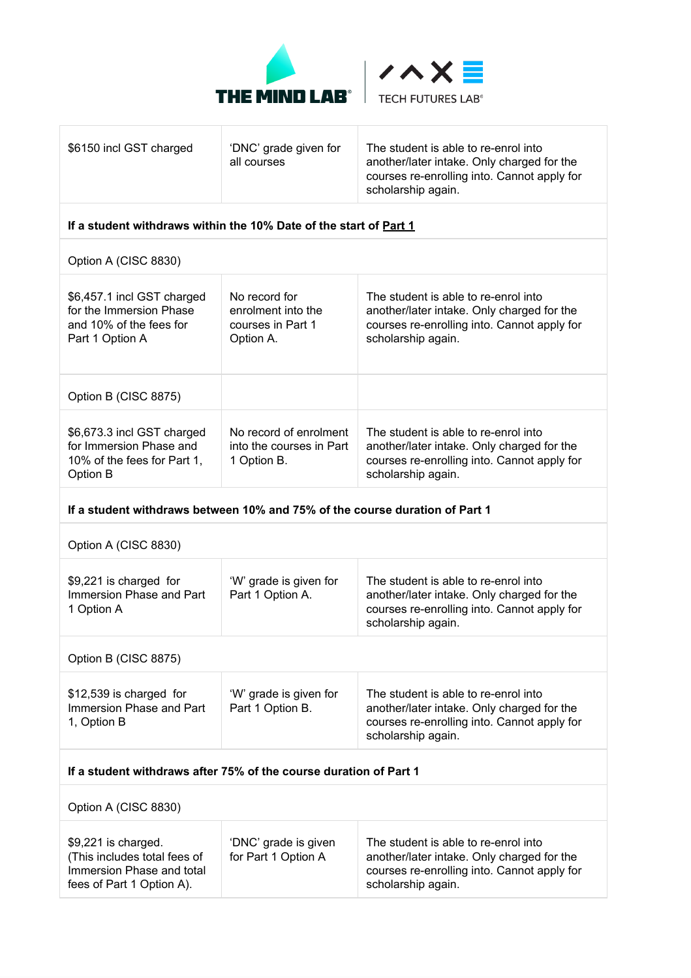



| \$6150 incl GST charged                                                                             | 'DNC' grade given for<br>all courses                                  | The student is able to re-enrol into<br>another/later intake. Only charged for the<br>courses re-enrolling into. Cannot apply for<br>scholarship again. |
|-----------------------------------------------------------------------------------------------------|-----------------------------------------------------------------------|---------------------------------------------------------------------------------------------------------------------------------------------------------|
| If a student withdraws within the 10% Date of the start of Part 1                                   |                                                                       |                                                                                                                                                         |
| Option A (CISC 8830)                                                                                |                                                                       |                                                                                                                                                         |
| \$6,457.1 incl GST charged<br>for the Immersion Phase<br>and 10% of the fees for<br>Part 1 Option A | No record for<br>enrolment into the<br>courses in Part 1<br>Option A. | The student is able to re-enrol into<br>another/later intake. Only charged for the<br>courses re-enrolling into. Cannot apply for<br>scholarship again. |
| Option B (CISC 8875)                                                                                |                                                                       |                                                                                                                                                         |
| \$6,673.3 incl GST charged<br>for Immersion Phase and<br>10% of the fees for Part 1,<br>Option B    | No record of enrolment<br>into the courses in Part<br>1 Option B.     | The student is able to re-enrol into<br>another/later intake. Only charged for the<br>courses re-enrolling into. Cannot apply for<br>scholarship again. |
| If a student withdraws between 10% and 75% of the course duration of Part 1                         |                                                                       |                                                                                                                                                         |
| Option A (CISC 8830)                                                                                |                                                                       |                                                                                                                                                         |
| \$9,221 is charged for<br>Immersion Phase and Part<br>1 Option A                                    | 'W' grade is given for<br>Part 1 Option A.                            | The student is able to re-enrol into<br>another/later intake. Only charged for the<br>courses re-enrolling into. Cannot apply for<br>scholarship again. |
| Option B (CISC 8875)                                                                                |                                                                       |                                                                                                                                                         |
| \$12,539 is charged for<br>Immersion Phase and Part<br>1, Option B                                  | 'W' grade is given for<br>Part 1 Option B.                            | The student is able to re-enrol into<br>another/later intake. Only charged for the<br>courses re-enrolling into. Cannot apply for<br>scholarship again. |
| If a student withdraws after 75% of the course duration of Part 1                                   |                                                                       |                                                                                                                                                         |

Option A (CISC 8830)

| $$9,221$ is charged.<br>(This includes total fees of<br>Immersion Phase and total<br>fees of Part 1 Option A). | 'DNC' grade is given<br>for Part 1 Option A | The student is able to re-enrol into<br>another/later intake. Only charged for the<br>courses re-enrolling into. Cannot apply for<br>scholarship again. |
|----------------------------------------------------------------------------------------------------------------|---------------------------------------------|---------------------------------------------------------------------------------------------------------------------------------------------------------|
|----------------------------------------------------------------------------------------------------------------|---------------------------------------------|---------------------------------------------------------------------------------------------------------------------------------------------------------|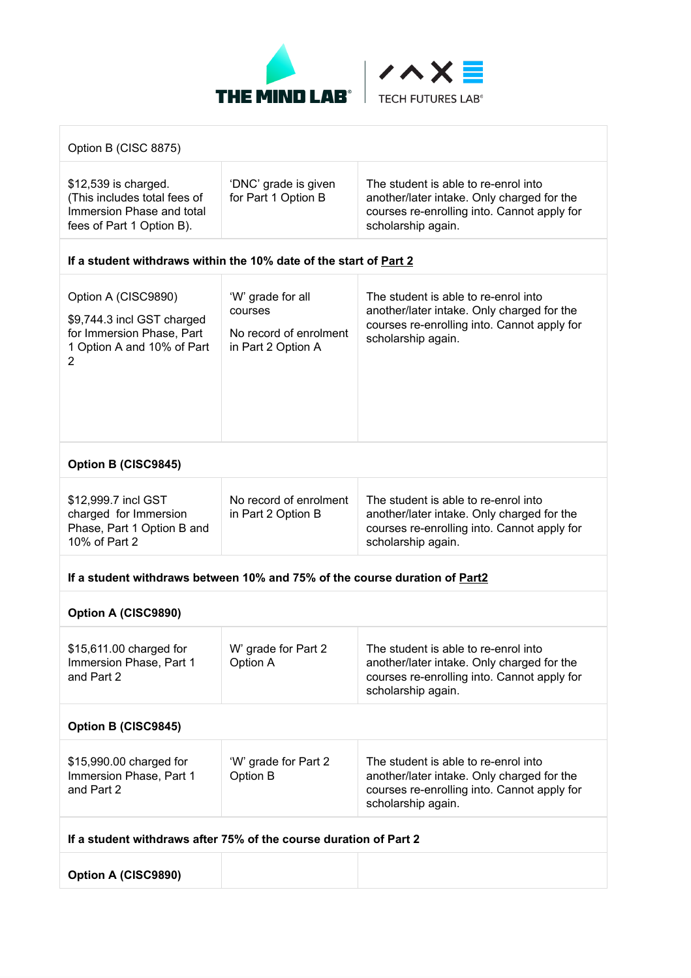



| Option B (CISC 8875)                                                                                              |                                                                              |                                                                                                                                                         |  |  |
|-------------------------------------------------------------------------------------------------------------------|------------------------------------------------------------------------------|---------------------------------------------------------------------------------------------------------------------------------------------------------|--|--|
| \$12,539 is charged.<br>(This includes total fees of<br>Immersion Phase and total<br>fees of Part 1 Option B).    | 'DNC' grade is given<br>for Part 1 Option B                                  | The student is able to re-enrol into<br>another/later intake. Only charged for the<br>courses re-enrolling into. Cannot apply for<br>scholarship again. |  |  |
| If a student withdraws within the 10% date of the start of Part 2                                                 |                                                                              |                                                                                                                                                         |  |  |
| Option A (CISC9890)<br>\$9,744.3 incl GST charged<br>for Immersion Phase, Part<br>1 Option A and 10% of Part<br>2 | 'W' grade for all<br>courses<br>No record of enrolment<br>in Part 2 Option A | The student is able to re-enrol into<br>another/later intake. Only charged for the<br>courses re-enrolling into. Cannot apply for<br>scholarship again. |  |  |
| Option B (CISC9845)                                                                                               |                                                                              |                                                                                                                                                         |  |  |
| \$12,999.7 incl GST<br>charged for Immersion<br>Phase, Part 1 Option B and<br>10% of Part 2                       | No record of enrolment<br>in Part 2 Option B                                 | The student is able to re-enrol into<br>another/later intake. Only charged for the<br>courses re-enrolling into. Cannot apply for<br>scholarship again. |  |  |
| If a student withdraws between 10% and 75% of the course duration of Part2                                        |                                                                              |                                                                                                                                                         |  |  |
| Option A (CISC9890)                                                                                               |                                                                              |                                                                                                                                                         |  |  |
| \$15,611.00 charged for<br>Immersion Phase, Part 1<br>and Part 2                                                  | W' grade for Part 2<br>Option A                                              | The student is able to re-enrol into<br>another/later intake. Only charged for the<br>courses re-enrolling into. Cannot apply for<br>scholarship again. |  |  |
| Option B (CISC9845)                                                                                               |                                                                              |                                                                                                                                                         |  |  |
| \$15,990.00 charged for<br>Immersion Phase, Part 1<br>and Part 2                                                  | 'W' grade for Part 2<br>Option B                                             | The student is able to re-enrol into<br>another/later intake. Only charged for the<br>courses re-enrolling into. Cannot apply for<br>scholarship again. |  |  |
| If a student withdraws after 75% of the course duration of Part 2                                                 |                                                                              |                                                                                                                                                         |  |  |
| Option A (CISC9890)                                                                                               |                                                                              |                                                                                                                                                         |  |  |